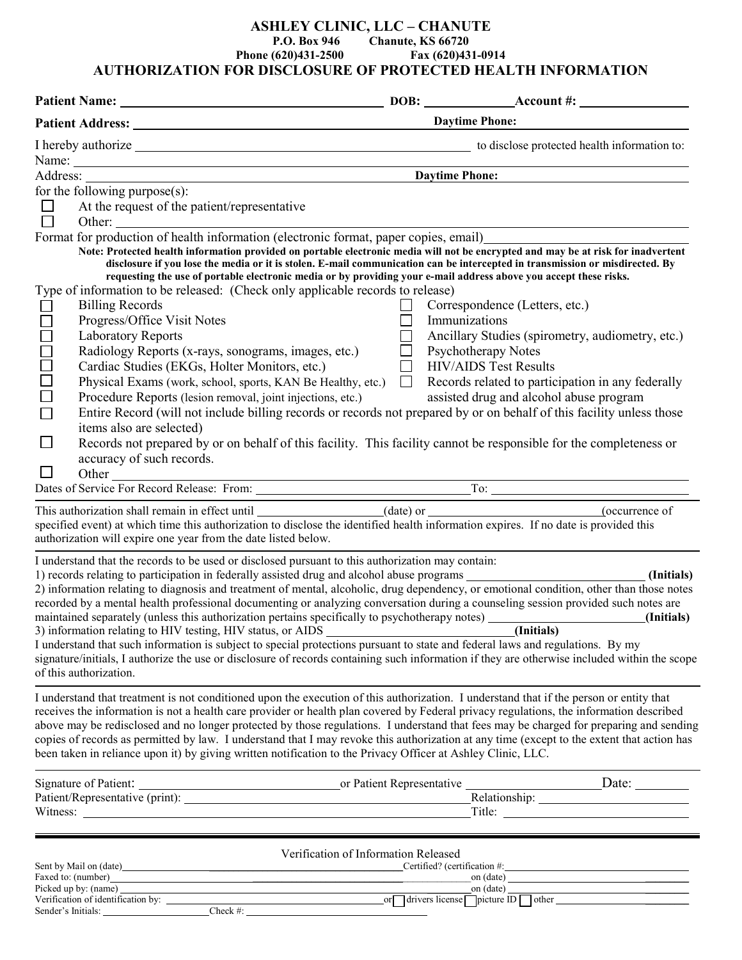## **ASHLEY CLINIC, LLC – CHANUTE P.O. Box 946 Chanute, KS 66720 Phone (620)431-2500 Fax (620)431-0914 AUTHORIZATION FOR DISCLOSURE OF PROTECTED HEALTH INFORMATION**

|                                                                 |                                                                                                                                                                                                                                                                                                                                                                                                                                                                                                                                                  | <b>Daytime Phone:</b> |                                                                                                                                                                                                                                                                                                        |  |
|-----------------------------------------------------------------|--------------------------------------------------------------------------------------------------------------------------------------------------------------------------------------------------------------------------------------------------------------------------------------------------------------------------------------------------------------------------------------------------------------------------------------------------------------------------------------------------------------------------------------------------|-----------------------|--------------------------------------------------------------------------------------------------------------------------------------------------------------------------------------------------------------------------------------------------------------------------------------------------------|--|
|                                                                 | I hereby authorize <b>contract the example of the contract of the contract of the contract of the contract of the contract of the contract of the contract of the contract of the contract of the contract of the contract of th</b>                                                                                                                                                                                                                                                                                                             |                       |                                                                                                                                                                                                                                                                                                        |  |
|                                                                 | Name: $\frac{1}{2}$                                                                                                                                                                                                                                                                                                                                                                                                                                                                                                                              |                       | <b>Daytime Phone:</b>                                                                                                                                                                                                                                                                                  |  |
| for the following purpose $(s)$ :                               |                                                                                                                                                                                                                                                                                                                                                                                                                                                                                                                                                  |                       |                                                                                                                                                                                                                                                                                                        |  |
| $\Box$                                                          | At the request of the patient/representative                                                                                                                                                                                                                                                                                                                                                                                                                                                                                                     |                       |                                                                                                                                                                                                                                                                                                        |  |
|                                                                 |                                                                                                                                                                                                                                                                                                                                                                                                                                                                                                                                                  |                       |                                                                                                                                                                                                                                                                                                        |  |
|                                                                 | □ Other: Other: Other: Other: other is discussed by Other is the other information (electronic format, paper copies, email)                                                                                                                                                                                                                                                                                                                                                                                                                      |                       |                                                                                                                                                                                                                                                                                                        |  |
| <b>Billing Records</b>                                          | Note: Protected health information provided on portable electronic media will not be encrypted and may be at risk for inadvertent<br>disclosure if you lose the media or it is stolen. E-mail communication can be intercepted in transmission or misdirected. By<br>requesting the use of portable electronic media or by providing your e-mail address above you accept these risks.<br>Type of information to be released: (Check only applicable records to release)                                                                         |                       | Correspondence (Letters, etc.)                                                                                                                                                                                                                                                                         |  |
| Progress/Office Visit Notes                                     |                                                                                                                                                                                                                                                                                                                                                                                                                                                                                                                                                  | Immunizations         |                                                                                                                                                                                                                                                                                                        |  |
| DOODOOC<br><b>Laboratory Reports</b><br>$\Box$                  | Radiology Reports (x-rays, sonograms, images, etc.)<br>Cardiac Studies (EKGs, Holter Monitors, etc.)<br>Physical Exams (work, school, sports, KAN Be Healthy, etc.)<br>Procedure Reports (lesion removal, joint injections, etc.)<br>Entire Record (will not include billing records or records not prepared by or on behalf of this facility unless those                                                                                                                                                                                       | $\Box$<br>$\Box$      | Ancillary Studies (spirometry, audiometry, etc.)<br><b>Psychotherapy Notes</b><br><b>HIV/AIDS Test Results</b><br>Records related to participation in any federally<br>assisted drug and alcohol abuse program                                                                                         |  |
| items also are selected)<br>$\Box$<br>accuracy of such records. | Records not prepared by or on behalf of this facility. This facility cannot be responsible for the completeness or                                                                                                                                                                                                                                                                                                                                                                                                                               |                       |                                                                                                                                                                                                                                                                                                        |  |
|                                                                 | Dates of Service For Record Release: From: To: To: To: Network Contract Contract Contract Contract Contract Contract Contract Contract Contract Contract Contract Contract Contract Contract Contract Contract Contract Contra                                                                                                                                                                                                                                                                                                                   |                       |                                                                                                                                                                                                                                                                                                        |  |
|                                                                 | specified event) at which time this authorization to disclose the identified health information expires. If no date is provided this<br>authorization will expire one year from the date listed below.                                                                                                                                                                                                                                                                                                                                           |                       |                                                                                                                                                                                                                                                                                                        |  |
| of this authorization.                                          | I understand that the records to be used or disclosed pursuant to this authorization may contain:<br>recorded by a mental health professional documenting or analyzing conversation during a counseling session provided such notes are<br>I understand that such information is subject to special protections pursuant to state and federal laws and regulations. By my                                                                                                                                                                        |                       | (Initials)<br>2) information relating to diagnosis and treatment of mental, alcoholic, drug dependency, or emotional condition, other than those notes<br>signature/initials, I authorize the use or disclosure of records containing such information if they are otherwise included within the scope |  |
|                                                                 | I understand that treatment is not conditioned upon the execution of this authorization. I understand that if the person or entity that<br>receives the information is not a health care provider or health plan covered by Federal privacy regulations, the information described<br>copies of records as permitted by law. I understand that I may revoke this authorization at any time (except to the extent that action has<br>been taken in reliance upon it) by giving written notification to the Privacy Officer at Ashley Clinic, LLC. |                       | above may be redisclosed and no longer protected by those regulations. I understand that fees may be charged for preparing and sending                                                                                                                                                                 |  |
|                                                                 |                                                                                                                                                                                                                                                                                                                                                                                                                                                                                                                                                  |                       |                                                                                                                                                                                                                                                                                                        |  |
|                                                                 |                                                                                                                                                                                                                                                                                                                                                                                                                                                                                                                                                  |                       |                                                                                                                                                                                                                                                                                                        |  |
|                                                                 | Witness: Title: Title: Title: Title: Title: Title: Title: Title: Title: Title: Title: Title: Title: Title: Title: Title: Title: Title: Title: Title: Title: Title: Title: Title: Title: Title: Title: Title: Title: Title: Tit                                                                                                                                                                                                                                                                                                                   |                       |                                                                                                                                                                                                                                                                                                        |  |
|                                                                 | Verification of Information Released                                                                                                                                                                                                                                                                                                                                                                                                                                                                                                             |                       |                                                                                                                                                                                                                                                                                                        |  |
|                                                                 |                                                                                                                                                                                                                                                                                                                                                                                                                                                                                                                                                  |                       |                                                                                                                                                                                                                                                                                                        |  |

| Sent by Mail on (date)             |          | Certified? (certification #:                                    |  |
|------------------------------------|----------|-----------------------------------------------------------------|--|
| Faxed to: (number)                 |          | on (date)                                                       |  |
| Picked up by: (name)               |          | on (date)                                                       |  |
| Verification of identification by: |          | $\Box$ drivers license $\Box$ picture ID $\Box$<br>other<br>orl |  |
| Sender's Initials:                 | ∵heck #: |                                                                 |  |